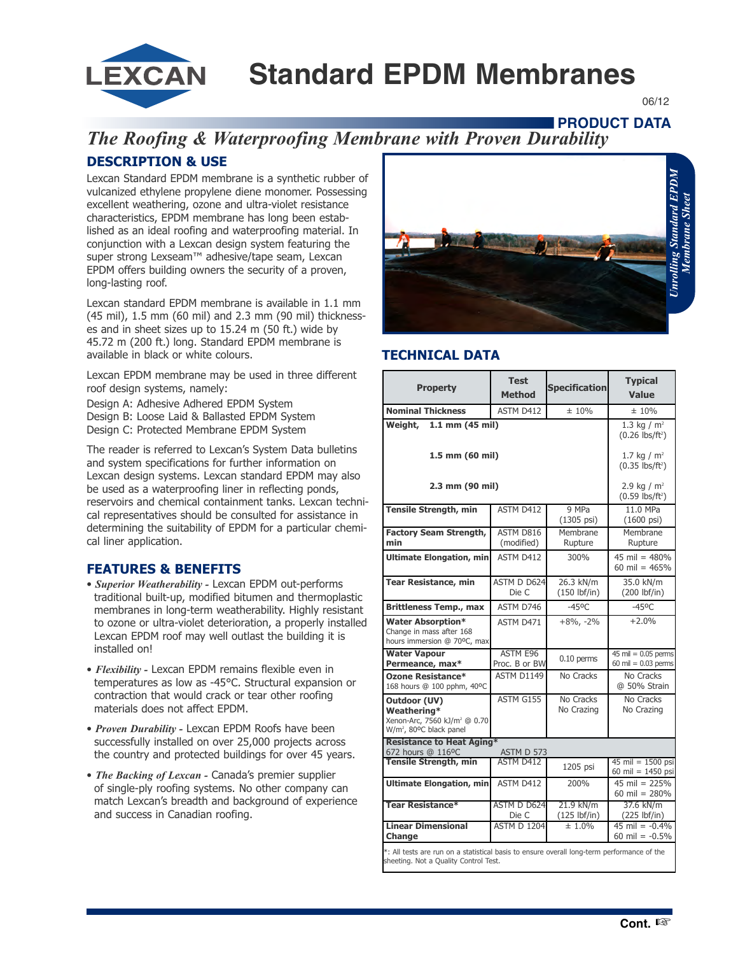**Standard EPDM Membranes**

06/12

## **FRODUCT DATA**

# *The Roofing & Waterproofing Membrane with Proven Durability* **DESCRIPTION & USE**

Lexcan Standard EPDM membrane is a synthetic rubber of vulcanized ethylene propylene diene monomer. Possessing excellent weathering, ozone and ultra-violet resistance characteristics, EPDM membrane has long been established as an ideal roofing and waterproofing material. In conjunction with a Lexcan design system featuring the super strong Lexseam™ adhesive/tape seam, Lexcan EPDM offers building owners the security of a proven, long-lasting roof.

**LEXCAN** 

Lexcan standard EPDM membrane is available in 1.1 mm (45 mil), 1.5 mm (60 mil) and 2.3 mm (90 mil) thicknesses and in sheet sizes up to 15.24 m (50 ft.) wide by 45.72 m (200 ft.) long. Standard EPDM membrane is available in black or white colours.

Lexcan EPDM membrane may be used in three different roof design systems, namely:

Design A: Adhesive Adhered EPDM System Design B: Loose Laid & Ballasted EPDM System Design C: Protected Membrane EPDM System

The reader is referred to Lexcan's System Data bulletins and system specifications for further information on Lexcan design systems. Lexcan standard EPDM may also be used as a waterproofing liner in reflecting ponds, reservoirs and chemical containment tanks. Lexcan technical representatives should be consulted for assistance in determining the suitability of EPDM for a particular chemical liner application.

## **FEATURES & BENEFITS**

- *Superior Weatherability -* Lexcan EPDM out-performs traditional built-up, modified bitumen and thermoplastic membranes in long-term weatherability. Highly resistant to ozone or ultra-violet deterioration, a properly installed Lexcan EPDM roof may well outlast the building it is installed on!
- *Flexibility -* Lexcan EPDM remains flexible even in temperatures as low as -45°C. Structural expansion or contraction that would crack or tear other roofing materials does not affect EPDM.
- *Proven Durability -* Lexcan EPDM Roofs have been successfully installed on over 25,000 projects across the country and protected buildings for over 45 years.
- *The Backing of Lexcan -* Canada's premier supplier of single-ply roofing systems. No other company can match Lexcan's breadth and background of experience and success in Canadian roofing.



### **TECHNICAL DATA**

| <b>Property</b>                                                                                                                     | <b>Test</b><br><b>Method</b>     | <b>Specification</b>                            | <b>Typical</b><br><b>Value</b>                             |  |
|-------------------------------------------------------------------------------------------------------------------------------------|----------------------------------|-------------------------------------------------|------------------------------------------------------------|--|
| <b>Nominal Thickness</b>                                                                                                            | ASTM D412                        | ± 10%                                           | ± 10%                                                      |  |
| $1.1$ mm $(45$ mil)<br>Weight,                                                                                                      |                                  | 1.3 kg / $m2$<br>$(0.26$ lbs/ft <sup>2</sup> )  |                                                            |  |
| 1.5 mm (60 mil)                                                                                                                     |                                  | 1.7 kg / $m2$<br>$(0.35 \, \text{lbs/ft}^2)$    |                                                            |  |
| 2.3 mm (90 mil)                                                                                                                     |                                  | 2.9 kg / $m^2$<br>$(0.59$ lbs/ft <sup>2</sup> ) |                                                            |  |
| <b>Tensile Strength, min</b>                                                                                                        | ASTM D412                        | 9 MPa<br>$(1305 \text{ psi})$                   | 11.0 MPa<br>$(1600 \text{ psi})$                           |  |
| <b>Factory Seam Strength,</b><br>min                                                                                                | ASTM D816<br>(modified)          | Membrane<br>Rupture                             | Membrane<br>Rupture                                        |  |
| <b>Ultimate Elongation, min</b>                                                                                                     | ASTM D412                        | 300%                                            | 45 mil = $480%$<br>60 mil = $465%$                         |  |
| <b>Tear Resistance, min</b>                                                                                                         | ASTM D D624<br>Die C             | 26.3 kN/m<br>$(150$ lbf/in)                     | 35.0 kN/m<br>$(200$ lbf/in)                                |  |
| <b>Brittleness Temp., max</b>                                                                                                       | ASTM D746                        | $-45^{\circ}$ C                                 | $-45^{\circ}$ C                                            |  |
| <b>Water Absorption*</b><br>Change in mass after 168<br>hours immersion @ 70°C, max                                                 | ASTM D471                        | $+8\%$ , $-2\%$                                 | $+2.0%$                                                    |  |
| <b>Water Vapour</b><br>Permeance, max*                                                                                              | <b>ASTM E96</b><br>Proc. B or BW | $0.10$ perms                                    | 45 mil = $0.05$ perms<br>60 mil = $0.03$ perms             |  |
| <b>Ozone Resistance*</b><br>168 hours @ 100 pphm, 40°C                                                                              | ASTM D1149                       | No Cracks                                       | No Cracks<br>@ 50% Strain                                  |  |
| Outdoor (UV)<br>Weathering*<br>Xenon-Arc, 7560 kJ/m <sup>2</sup> @ 0.70<br>W/m <sup>2</sup> , 80°C black panel                      | ASTM G155                        | No Cracks<br>No Crazing                         | No Cracks<br>No Crazing                                    |  |
| <b>Resistance to Heat Aging*</b><br>672 hours @ 116°C<br>ASTM D 573                                                                 |                                  |                                                 |                                                            |  |
| <b>Tensile Strength, min</b>                                                                                                        | <b>ASTM D412</b>                 | 1205 psi                                        | $45 \text{ mil} = 1500 \text{ psi}$<br>60 mil = $1450$ psi |  |
| <b>Ultimate Elongation, min</b>                                                                                                     | ASTM D412                        | 200%                                            | $45$ mil = 225%<br>60 mil = $280%$                         |  |
| <b>Tear Resistance*</b>                                                                                                             | ASTM D D624<br>Die C             | 21.9 kN/m<br>$(125$ lbf/in)                     | 37.6 kN/m<br>$(225$ lbf/in)                                |  |
| <b>Linear Dimensional</b><br><b>Change</b>                                                                                          | <b>ASTM D 1204</b>               | $± 1.0\%$                                       | $45$ mil = $-0.4\%$<br>60 mil = $-0.5\%$                   |  |
| *: All tests are run on a statistical basis to ensure overall long-term performance of the<br>sheeting. Not a Quality Control Test. |                                  |                                                 |                                                            |  |